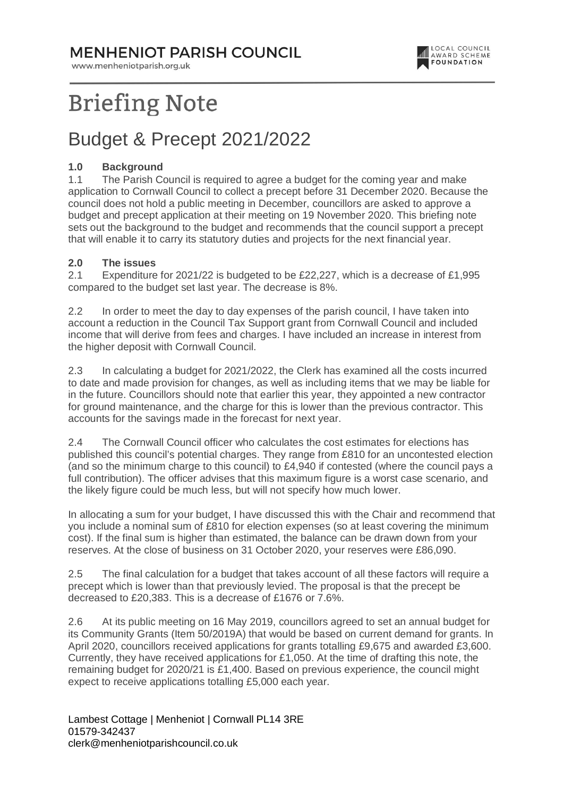### **MENHENIOT PARISH COUNCIL**

www.menheniotparish.org.uk



# **Briefing Note**

### Budget & Precept 2021/2022

#### **1.0 Background**

1.1 The Parish Council is required to agree a budget for the coming year and make application to Cornwall Council to collect a precept before 31 December 2020. Because the council does not hold a public meeting in December, councillors are asked to approve a budget and precept application at their meeting on 19 November 2020. This briefing note sets out the background to the budget and recommends that the council support a precept that will enable it to carry its statutory duties and projects for the next financial year.

#### **2.0 The issues**

2.1 Expenditure for 2021/22 is budgeted to be £22,227, which is a decrease of £1,995 compared to the budget set last year. The decrease is 8%.

2.2 In order to meet the day to day expenses of the parish council, I have taken into account a reduction in the Council Tax Support grant from Cornwall Council and included income that will derive from fees and charges. I have included an increase in interest from the higher deposit with Cornwall Council.

2.3 In calculating a budget for 2021/2022, the Clerk has examined all the costs incurred to date and made provision for changes, as well as including items that we may be liable for in the future. Councillors should note that earlier this year, they appointed a new contractor for ground maintenance, and the charge for this is lower than the previous contractor. This accounts for the savings made in the forecast for next year.

2.4 The Cornwall Council officer who calculates the cost estimates for elections has published this council's potential charges. They range from £810 for an uncontested election (and so the minimum charge to this council) to £4,940 if contested (where the council pays a full contribution). The officer advises that this maximum figure is a worst case scenario, and the likely figure could be much less, but will not specify how much lower.

In allocating a sum for your budget, I have discussed this with the Chair and recommend that you include a nominal sum of £810 for election expenses (so at least covering the minimum cost). If the final sum is higher than estimated, the balance can be drawn down from your reserves. At the close of business on 31 October 2020, your reserves were £86,090.

2.5 The final calculation for a budget that takes account of all these factors will require a precept which is lower than that previously levied. The proposal is that the precept be decreased to £20,383. This is a decrease of £1676 or 7.6%.

2.6 At its public meeting on 16 May 2019, councillors agreed to set an annual budget for its Community Grants (Item 50/2019A) that would be based on current demand for grants. In April 2020, councillors received applications for grants totalling £9,675 and awarded £3,600. Currently, they have received applications for £1,050. At the time of drafting this note, the remaining budget for 2020/21 is £1,400. Based on previous experience, the council might expect to receive applications totalling £5,000 each year.

Lambest Cottage | Menheniot | Cornwall PL14 3RE 01579-342437 clerk@menheniotparishcouncil.co.uk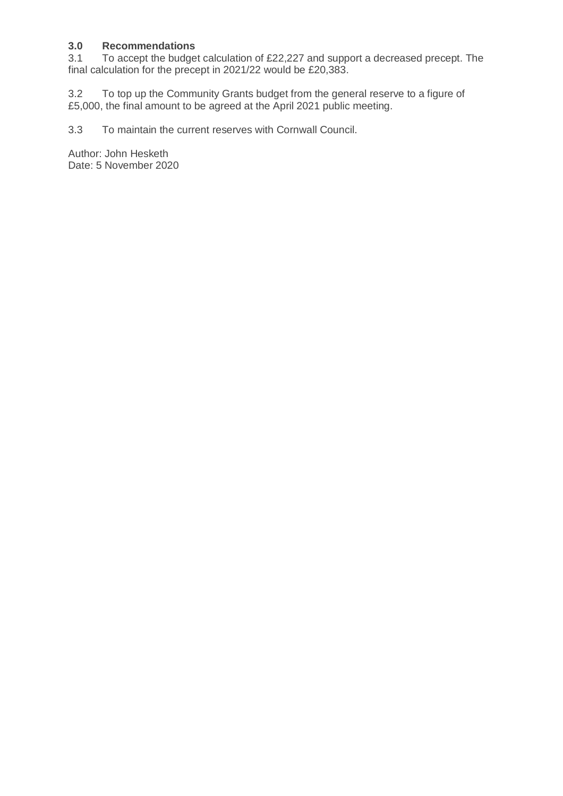## **3.0 Recommendations**

To accept the budget calculation of £22,227 and support a decreased precept. The final calculation for the precept in 2021/22 would be £20,383.

3.2 To top up the Community Grants budget from the general reserve to a figure of £5,000, the final amount to be agreed at the April 2021 public meeting.

3.3 To maintain the current reserves with Cornwall Council.

Author: John Hesketh Date: 5 November 2020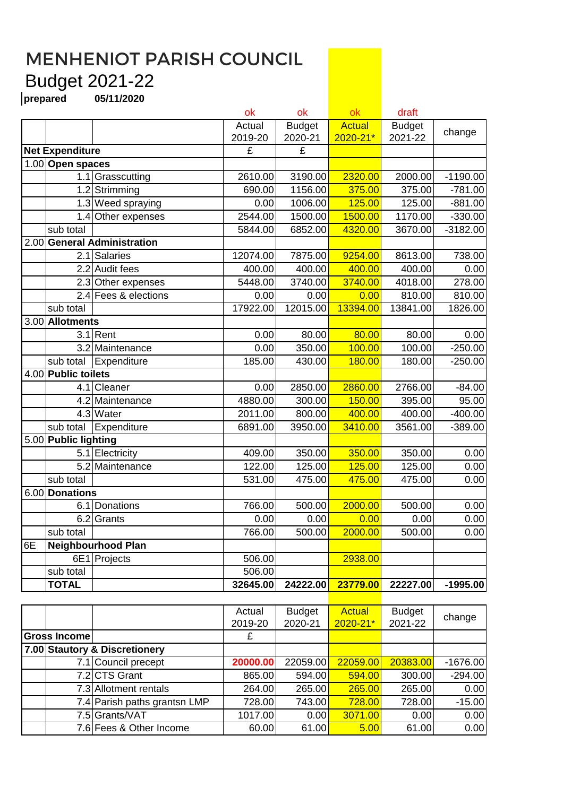### MENHENIOT PARISH COUNCIL Budget 2021-22

**prepared 05/11/2020**

|      |                               |                           | ok       | ok            | ok            | draft         |            |
|------|-------------------------------|---------------------------|----------|---------------|---------------|---------------|------------|
|      |                               |                           | Actual   | <b>Budget</b> | <b>Actual</b> | <b>Budget</b> | change     |
|      |                               |                           | 2019-20  | 2020-21       | $2020 - 21*$  | 2021-22       |            |
|      | <b>Net Expenditure</b>        |                           | £        | £             |               |               |            |
|      | 1.00 Open spaces              |                           |          |               |               |               |            |
|      |                               | 1.1 Grasscutting          | 2610.00  | 3190.00       | 2320.00       | 2000.00       | $-1190.00$ |
|      | 1.2                           | Strimming                 | 690.00   | 1156.00       | 375.00        | 375.00        | $-781.00$  |
|      |                               | 1.3 Weed spraying         | 0.00     | 1006.00       | 125.00        | 125.00        | $-881.00$  |
|      | 1.4                           | Other expenses            | 2544.00  | 1500.00       | 1500.00       | 1170.00       | $-330.00$  |
|      | sub total                     |                           | 5844.00  | 6852.00       | 4320.00       | 3670.00       | $-3182.00$ |
| 2.00 | <b>General Administration</b> |                           |          |               |               |               |            |
|      |                               | $\overline{2.1}$ Salaries | 12074.00 | 7875.00       | 9254.00       | 8613.00       | 738.00     |
|      | 2.2                           | <b>Audit fees</b>         | 400.00   | 400.00        | 400.00        | 400.00        | 0.00       |
|      |                               | 2.3 Other expenses        | 5448.00  | 3740.00       | 3740.00       | 4018.00       | 278.00     |
|      |                               | 2.4 Fees & elections      | 0.00     | 0.00          | 0.00          | 810.00        | 810.00     |
|      | sub total                     |                           | 17922.00 | 12015.00      | 13394.00      | 13841.00      | 1826.00    |
| 3.00 | <b>Allotments</b>             |                           |          |               |               |               |            |
|      | 3.1                           | Rent                      | 0.00     | 80.00         | 80.00         | 80.00         | 0.00       |
|      |                               | 3.2 Maintenance           | 0.00     | 350.00        | 100.00        | 100.00        | $-250.00$  |
|      | sub total                     | Expenditure               | 185.00   | 430.00        | 180.00        | 180.00        | $-250.00$  |
|      | 4.00 Public toilets           |                           |          |               |               |               |            |
|      |                               | 4.1 Cleaner               | 0.00     | 2850.00       | 2860.00       | 2766.00       | $-84.00$   |
|      |                               | 4.2 Maintenance           | 4880.00  | 300.00        | 150.00        | 395.00        | 95.00      |
|      |                               | 4.3 Water                 | 2011.00  | 800.00        | 400.00        | 400.00        | $-400.00$  |
|      | sub total                     | Expenditure               | 6891.00  | 3950.00       | 3410.00       | 3561.00       | $-389.00$  |
| 5.00 | <b>Public lighting</b>        |                           |          |               |               |               |            |
|      |                               | 5.1 Electricity           | 409.00   | 350.00        | 350.00        | 350.00        | 0.00       |
|      |                               | 5.2 Maintenance           | 122.00   | 125.00        | 125.00        | 125.00        | 0.00       |
|      | sub total                     |                           | 531.00   | 475.00        | 475.00        | 475.00        | 0.00       |
| 6.00 | <b>Donations</b>              |                           |          |               |               |               |            |
|      | 6.1                           | Donations                 | 766.00   | 500.00        | 2000.00       | 500.00        | 0.00       |
|      | 6.2                           | Grants                    | 0.00     | 0.00          | 0.00          | 0.00          | 0.00       |
|      | sub total                     |                           | 766.00   | 500.00        | 2000.00       | 500.00        | 0.00       |
| 6E   | <b>Neighbourhood Plan</b>     |                           |          |               |               |               |            |
|      |                               | 6E1 Projects              | 506.00   |               | 2938.00       |               |            |
|      | sub total                     |                           | 506.00   |               |               |               |            |
|      | <b>TOTAL</b>                  |                           | 32645.00 | 24222.00      | 23779.00      | 22227.00      | $-1995.00$ |
|      |                               |                           |          |               |               |               |            |

|              |                               |                              | Actual   | <b>Budget</b> | <b>Actual</b> | <b>Budget</b> | change     |
|--------------|-------------------------------|------------------------------|----------|---------------|---------------|---------------|------------|
|              |                               |                              | 2019-20  | 2020-21       | $2020 - 21*$  | 2021-22       |            |
| Gross Income |                               |                              | £        |               |               |               |            |
|              | 7.00 Stautory & Discretionery |                              |          |               |               |               |            |
|              |                               | 7.1 Council precept          | 20000.00 | 22059.00      | 22059.00      | 20383.00      | $-1676.00$ |
|              |                               | 7.2 CTS Grant                | 865.00   | 594.00        | 594.00        | 300.00        | $-294.00$  |
|              |                               | 7.3 Allotment rentals        | 264.00   | 265.00        | 265.00        | 265.00        | 0.00       |
|              |                               | 7.4 Parish paths grantsn LMP | 728.00   | 743.00        | 728.00        | 728.00        | $-15.00$   |
|              |                               | 7.5 Grants/VAT               | 1017.00  | 0.00          | 3071.00       | 0.00          | 0.00       |
|              |                               | 7.6 Fees & Other Income      | 60.00    | 61.00         | 5.00          | 61.00         | 0.00       |